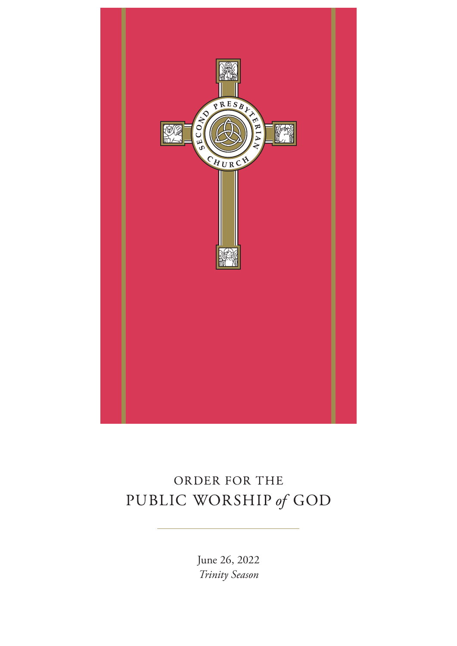

# ORDER FOR THE PUBLIC WORSHIP of GOD

June 26, 2022 *Trinity Season*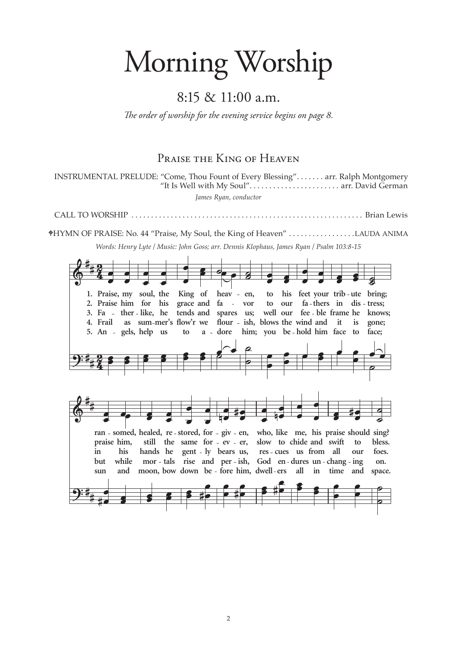# Morning Worship

# 8:15 & 11:00 a.m.

*The order of worship for the evening service begins on page 8.*

# PRAISE THE KING OF HEAVEN

INSTRUMENTAL PRELUDE: "Come, Thou Fount of Every Blessing" . . . . . . . arr. Ralph Montgomery "It Is Well with My Soul" $\dots\dots\dots\dots\dots\dots$  arr. David German *James Ryan, conductor*

CALL TO WORSHIP . . . . . . . . . . . . . . . . . . . . . . . . . . . . . . . . . . . . . . . . . . . . . . . . . . . . . . . . . . . Brian Lewis HIS LOVE AND GRACE Praise, My Soul, the King of Heaven 44

WHYMN OF PRAISE: No. 44 "Praise, My Soul, the King of Heaven" . . . . . . . . . . . . . . . . LAUDA ANIMA Praise, My Soul, the King of Heaven 44

*Words: Henry Lyte / Music: John Goss; arr. Dennis Klophaus, James Ryan / Psalm 103:8-15*

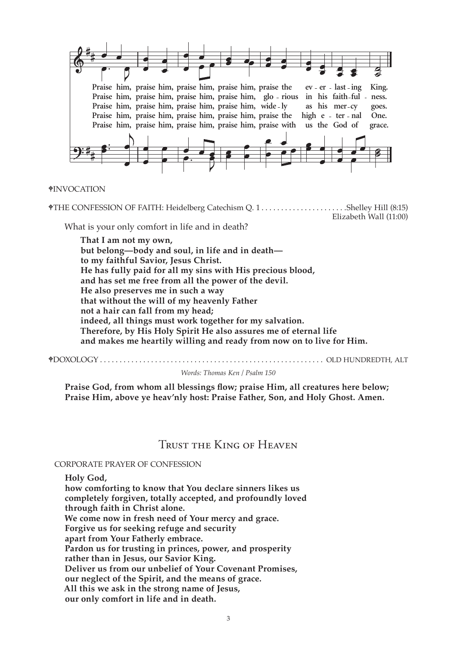

WINVOCATION

WTHE CONFESSION OF FAITH: Heidelberg Catechism Q. 1 . . . . . . . . . . . . . . . . . . . . . Shelley Hill (8:15) Elizabeth Wall (11:00) What is your only comfort in life and in death?

**That I am not my own, but belong—body and soul, in life and in death to my faithful Savior, Jesus Christ. He has fully paid for all my sins with His precious blood, and has set me free from all the power of the devil. He also preserves me in such a way that without the will of my heavenly Father not a hair can fall from my head; indeed, all things must work together for my salvation. Therefore, by His Holy Spirit He also assures me of eternal life and makes me heartily willing and ready from now on to live for Him.**

WDOXOLOGY . . . . . . . . . . . . . . . . . . . . . . . . . . . . . . . . . . . . . . . . . . . . . . . . . . . . . . . . . OLD HUNDREDTH, ALT

*Words: Thomas Ken / Psalm 150*

**Praise God, from whom all blessings flow; praise Him, all creatures here below; Praise Him, above ye heav'nly host: Praise Father, Son, and Holy Ghost. Amen.**

# Trust the King of Heaven

**2 3** CORPORATE PRAYER OF CONFESSION **Holy God, how comforting to know that You declare sinners likes us completely forgiven, totally accepted, and profoundly loved through faith in Christ alone. We come now in fresh need of Your mercy and grace. Forgive us for seeking refuge and security apart from Your Fatherly embrace. Pardon us for trusting in princes, power, and prosperity rather than in Jesus, our Savior King. Deliver us from our unbelief of Your Covenant Promises, our neglect of the Spirit, and the means of grace. All this we ask in the strong name of Jesus, our only comfort in life and in death.**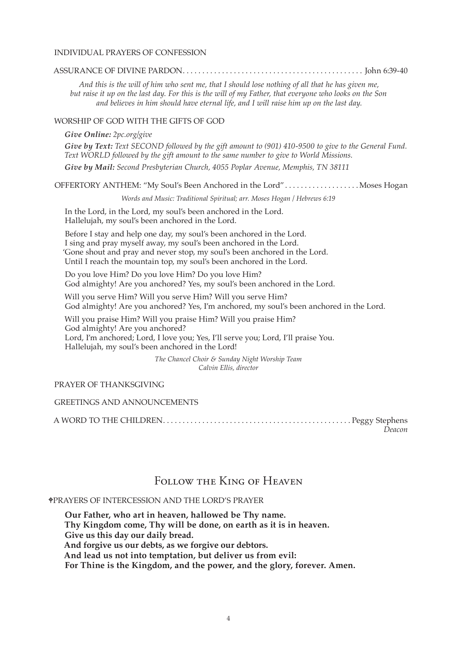#### INDIVIDUAL PRAYERS OF CONFESSION

| And this is the will of him who sent me, that I should lose nothing of all that he has given me,<br>but raise it up on the last day. For this is the will of my Father, that everyone who looks on the Son<br>and believes in him should have eternal life, and I will raise him up on the last day. |
|------------------------------------------------------------------------------------------------------------------------------------------------------------------------------------------------------------------------------------------------------------------------------------------------------|
| WORSHIP OF GOD WITH THE GIFTS OF GOD                                                                                                                                                                                                                                                                 |
| Give Online: 2pc.org/give                                                                                                                                                                                                                                                                            |
| Give by Text: Text SECOND followed by the gift amount to (901) 410-9500 to give to the General Fund.<br>Text WORLD followed by the gift amount to the same number to give to World Missions.                                                                                                         |
| Give by Mail: Second Presbyterian Church, 4055 Poplar Avenue, Memphis, TN 38111                                                                                                                                                                                                                      |
| OFFERTORY ANTHEM: "My Soul's Been Anchored in the Lord"Moses Hogan                                                                                                                                                                                                                                   |
| Words and Music: Traditional Spiritual; arr. Moses Hogan / Hebrews 6:19                                                                                                                                                                                                                              |
| In the Lord, in the Lord, my soul's been anchored in the Lord.<br>Hallelujah, my soul's been anchored in the Lord.                                                                                                                                                                                   |
| Before I stay and help one day, my soul's been anchored in the Lord.<br>I sing and pray myself away, my soul's been anchored in the Lord.<br>'Gone shout and pray and never stop, my soul's been anchored in the Lord.<br>Until I reach the mountain top, my soul's been anchored in the Lord.       |
| Do you love Him? Do you love Him? Do you love Him?<br>God almighty! Are you anchored? Yes, my soul's been anchored in the Lord.                                                                                                                                                                      |
| Will you serve Him? Will you serve Him? Will you serve Him?<br>God almighty! Are you anchored? Yes, I'm anchored, my soul's been anchored in the Lord.                                                                                                                                               |
| Will you praise Him? Will you praise Him? Will you praise Him?<br>God almighty! Are you anchored?<br>Lord, I'm anchored; Lord, I love you; Yes, I'll serve you; Lord, I'll praise You.<br>Hallelujah, my soul's been anchored in the Lord!                                                           |
| The Chancel Choir & Sunday Night Worship Team<br>Calvin Ellis, director                                                                                                                                                                                                                              |
| PRAYER OF THANKSGIVING                                                                                                                                                                                                                                                                               |
| <b>GREETINGS AND ANNOUNCEMENTS</b>                                                                                                                                                                                                                                                                   |
| Deacon                                                                                                                                                                                                                                                                                               |
|                                                                                                                                                                                                                                                                                                      |

# Follow the King of Heaven

#### WPRAYERS OF INTERCESSION AND THE LORD'S PRAYER

**Our Father, who art in heaven, hallowed be Thy name. Thy Kingdom come, Thy will be done, on earth as it is in heaven. Give us this day our daily bread. And forgive us our debts, as we forgive our debtors. And lead us not into temptation, but deliver us from evil: For Thine is the Kingdom, and the power, and the glory, forever. Amen.**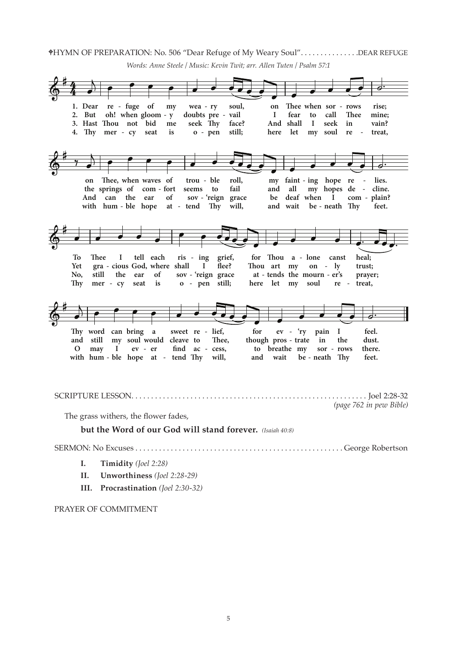WHYMN OF PREPARATION: No. 506 "Dear Refuge of My Weary Soul" . . . . . . . . . . . . . . DEAR REFUGE *Words: Anne Steele / Music: Kevin Twit; arr. Allen Tuten / Psalm 57:1*



**but the Word of our God will stand forever.** *(Isaiah 40:8)*

SERMON: No Excuses . . . . . . . . . . . . . . . . . . . . . . . . . . . . . . . . . . . . . . . . . . . . . . . . . . . . George Robertson

- **I. Timidity** *(Joel 2:28)*
- **II. Unworthiness** *(Joel 2:28-29)*
- **III. Procrastination** *(Joel 2:30-32)*

PRAYER OF COMMITMENT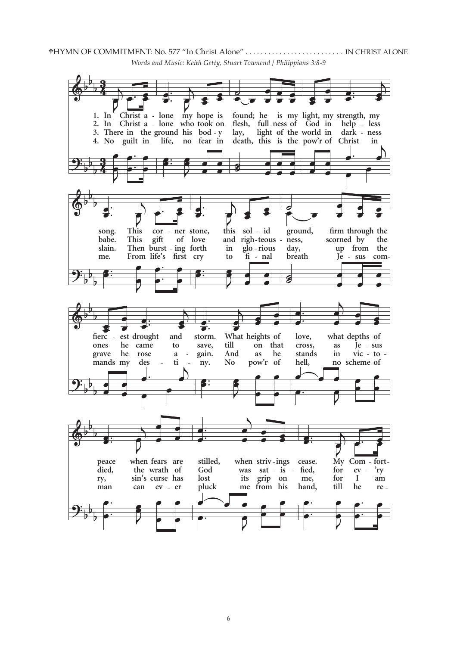WHYMN OF COMMITMENT: No. 577 "In Christ Alone" . . . . . . . . . . . . . . . . . . . . . . . . . . IN CHRIST ALONE 577 In Christ Alone *Unison Words and Music: Keith Getty, Stuart Townend / Philippians 3:8-9*

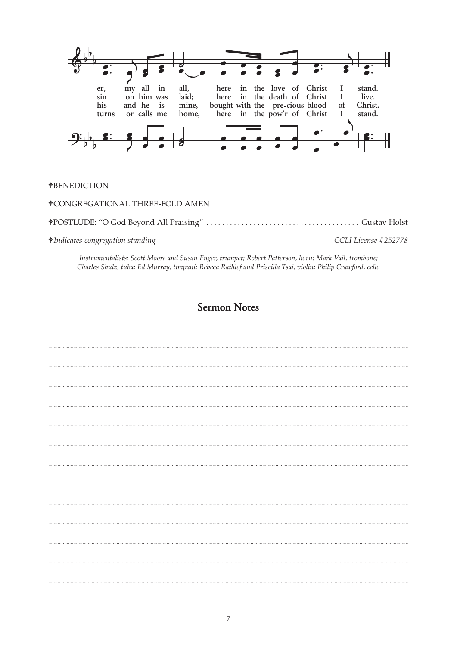

#### **\*BENEDICTION**

 $\blacklozenge$ CONGREGATIONAL THREE-FOLD AMEN

WPOSTLUDE: "O God Beyond All Praising" . . . . . . . . . . . . . . . . . . . . . . . . . . . . . . . . . . . . . . . Gustav Holst Come, We That Love the Lord 578 W*Indicates congregation standing CCLI License #252778*

*Instrumentalists: Scott Moore and Susan Enger, trumpet; Robert Patterson, horn; Mark Vail, trombone; Charles Shulz, tuba; Ed Murray, timpani; Rebeca Rathlef and Priscilla Tsai, violin; Philip Crawford, cello*

#### **3. Sermon Notes 2. Let those re fuse to sing that nev er knew our God;**

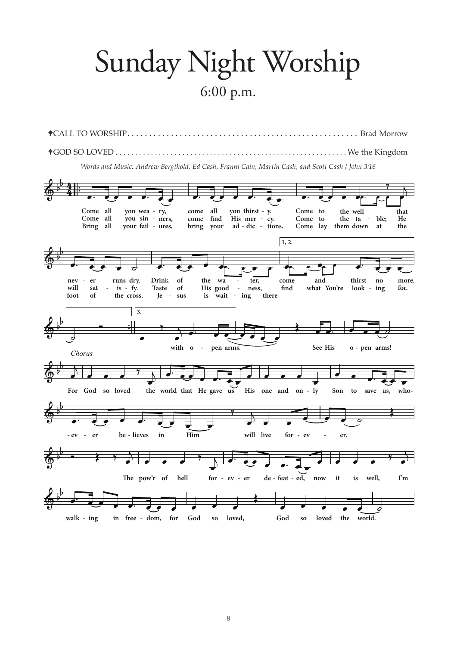# Sunday Night Worship 6:00 p.m.

WCALL TO WORSHIP . . . . . . . . . . . . . . . . . . . . . . . . . . . . . . . . . . . . . . . . . . . . . . . . . . . . . Brad Morrow WGOD SO LOVED . . . . . . . . . . . . . . . . . . . . . . . . . . . . . . . . . . . . . . . . . . . . . . . . . . . . . . . . . . We the Kingdom

*Words and Music: Andrew Bergthold, Ed Cash, Franni Cain, Martin Cash, and Scott Cash / John 3:16*

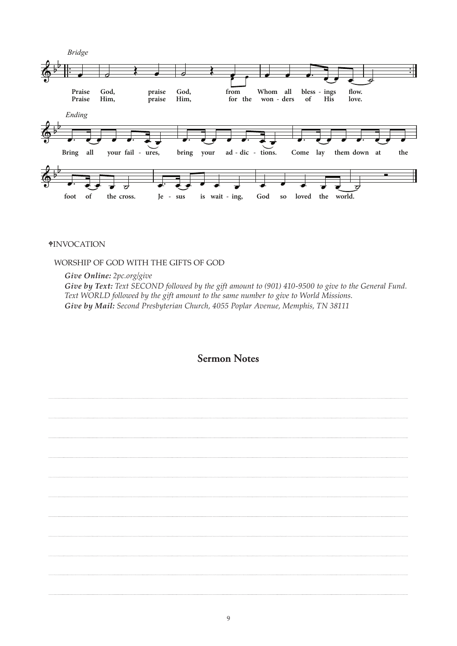

#### WINVOCATION

#### WORSHIP OF GOD WITH THE GIFTS OF GOD

*Give Online: 2pc.org/give*

*Give by Text: Text SECOND followed by the gift amount to (901) 410-9500 to give to the General Fund. Text WORLD followed by the gift amount to the same number to give to World Missions. Give by Mail: Second Presbyterian Church, 4055 Poplar Avenue, Memphis, TN 38111*

# **Sermon Notes**

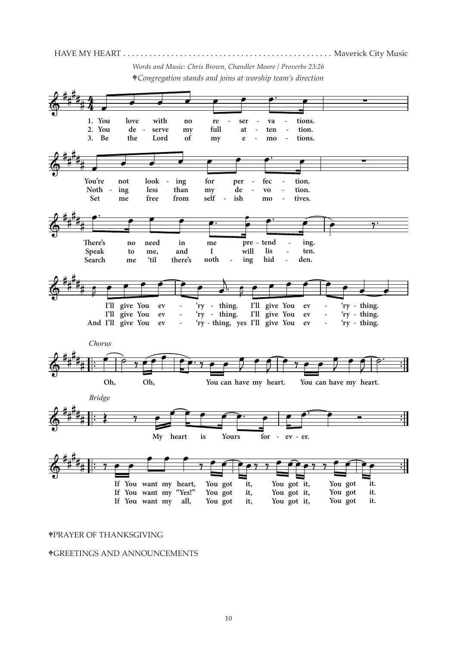HAVE MY HEART . . . . . . . . . . . . . . . . . . . . . . . . . . . . . . . . . . . . . . . . . . . . . . . . Maverick City Music



*Words and Music: Chris Brown, Chandler Moore / Proverbs 23:26* W*Congregation stands and joins at worship team's direction*

#### WPRAYER OF THANKSGIVING

#### **\*GREETINGS AND ANNOUNCEMENTS**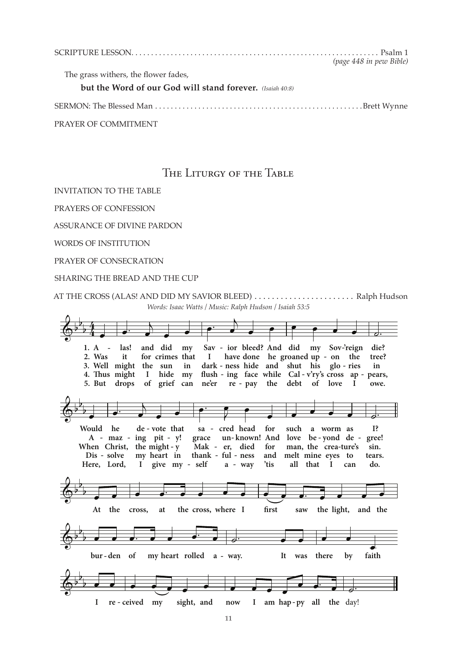|                                                                  | (page 448 in pew Bible) |
|------------------------------------------------------------------|-------------------------|
| The grass withers, the flower fades,                             |                         |
| <b>but the Word of our God will stand forever.</b> (Isgigh 40:8) |                         |
|                                                                  |                         |
| PRAYER OF COMMITMENT                                             |                         |

The Liturgy of the Table

INVITATION TO THE TABLE

PRAYERS OF CONFESSION

ASSURANCE OF DIVINE PARDON

WORDS OF INSTITUTION

PRAYER OF CONSECRATION

SHARING THE BREAD AND THE CUP

AT THE CROSS (ALAS! AND DID MY SAVIOR BLEED) . . . . . . . . . . . . . . . . . . . . . . . Ralph Hudson *Words: Isaac Watts / Music: Ralph Hudson / Isaiah 53:5*

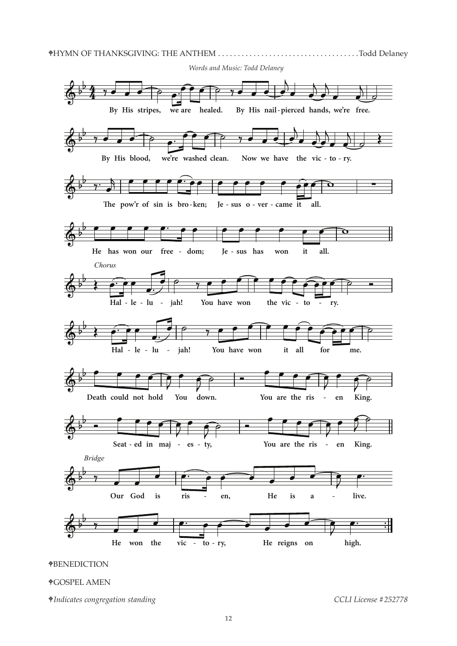

**\*BENEDICTION** 

WGOSPEL AMEN

W*Indicates congregation standing CCLI License #252778*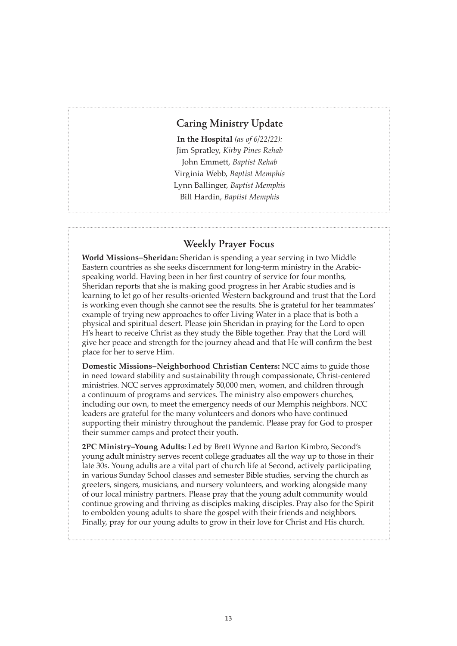#### **Caring Ministry Update**

**In the Hospital** *(as of 6/22/22):*  Jim Spratley, *Kirby Pines Rehab*  John Emmett, *Baptist Rehab* Virginia Webb, *Baptist Memphis* Lynn Ballinger, *Baptist Memphis* Bill Hardin, *Baptist Memphis*

### **Weekly Prayer Focus**

**World Missions–Sheridan:** Sheridan is spending a year serving in two Middle Eastern countries as she seeks discernment for long-term ministry in the Arabicspeaking world. Having been in her first country of service for four months, Sheridan reports that she is making good progress in her Arabic studies and is learning to let go of her results-oriented Western background and trust that the Lord is working even though she cannot see the results. She is grateful for her teammates' example of trying new approaches to offer Living Water in a place that is both a physical and spiritual desert. Please join Sheridan in praying for the Lord to open H's heart to receive Christ as they study the Bible together. Pray that the Lord will give her peace and strength for the journey ahead and that He will confirm the best place for her to serve Him.

**Domestic Missions–Neighborhood Christian Centers:** NCC aims to guide those in need toward stability and sustainability through compassionate, Christ-centered ministries. NCC serves approximately 50,000 men, women, and children through a continuum of programs and services. The ministry also empowers churches, including our own, to meet the emergency needs of our Memphis neighbors. NCC leaders are grateful for the many volunteers and donors who have continued supporting their ministry throughout the pandemic. Please pray for God to prosper their summer camps and protect their youth.

**2PC Ministry–Young Adults:** Led by Brett Wynne and Barton Kimbro, Second's young adult ministry serves recent college graduates all the way up to those in their late 30s. Young adults are a vital part of church life at Second, actively participating in various Sunday School classes and semester Bible studies, serving the church as greeters, singers, musicians, and nursery volunteers, and working alongside many of our local ministry partners. Please pray that the young adult community would continue growing and thriving as disciples making disciples. Pray also for the Spirit to embolden young adults to share the gospel with their friends and neighbors. Finally, pray for our young adults to grow in their love for Christ and His church.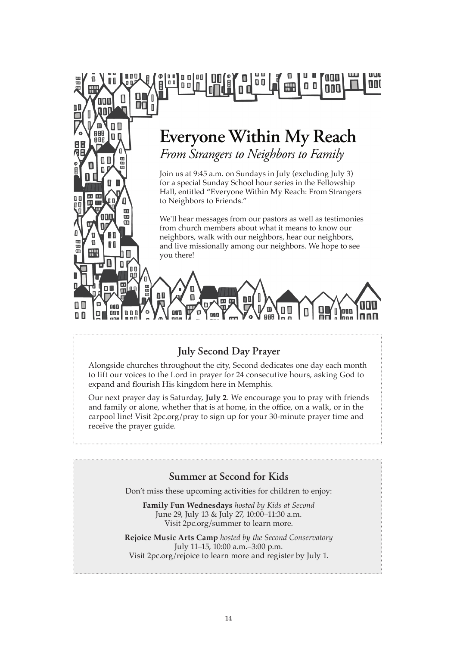

# **July Second Day Prayer**

Alongside churches throughout the city, Second dedicates one day each month to lift our voices to the Lord in prayer for 24 consecutive hours, asking God to expand and flourish His kingdom here in Memphis.

Our next prayer day is Saturday, **July 2**. We encourage you to pray with friends and family or alone, whether that is at home, in the office, on a walk, or in the carpool line! Visit 2pc.org/pray to sign up for your 30-minute prayer time and receive the prayer guide.

# **Summer at Second for Kids**

Don't miss these upcoming activities for children to enjoy:

**Family Fun Wednesdays** *hosted by Kids at Second* June 29, July 13 & July 27, 10:00–11:30 a.m. Visit 2pc.org/summer to learn more.

**Rejoice Music Arts Camp** *hosted by the Second Conservatory* July 11–15, 10:00 a.m.–3:00 p.m. Visit 2pc.org/rejoice to learn more and register by July 1.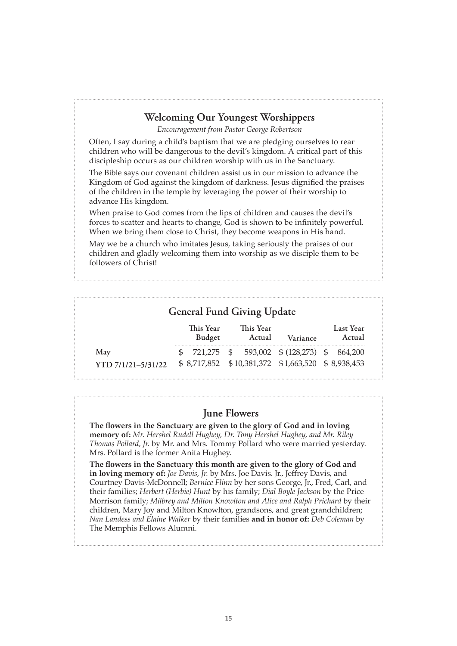#### **Welcoming Our Youngest Worshippers**

*Encouragement from Pastor George Robertson*

Often, I say during a child's baptism that we are pledging ourselves to rear children who will be dangerous to the devil's kingdom. A critical part of this discipleship occurs as our children worship with us in the Sanctuary.

The Bible says our covenant children assist us in our mission to advance the Kingdom of God against the kingdom of darkness. Jesus dignified the praises of the children in the temple by leveraging the power of their worship to advance His kingdom.

When praise to God comes from the lips of children and causes the devil's forces to scatter and hearts to change, God is shown to be infinitely powerful. When we bring them close to Christ, they become weapons in His hand.

May we be a church who imitates Jesus, taking seriously the praises of our children and gladly welcoming them into worship as we disciple them to be followers of Christ!

| <b>General Fund Giving Update</b> |  |                     |  |                     |          |                                                          |  |
|-----------------------------------|--|---------------------|--|---------------------|----------|----------------------------------------------------------|--|
|                                   |  | This Year<br>Budget |  | This Year<br>Actual | Variance | Last Year<br>Actual                                      |  |
| May                               |  |                     |  |                     |          | $\frac{1}{2}$ 721,275 \$ 593,002 \$ (128,273) \$ 864,200 |  |
| YTD 7/1/21-5/31/22                |  |                     |  |                     |          | $$8,717,852$ $$10,381,372$ $$1,663,520$ $$8,938,453$     |  |

#### **June Flowers**

**The flowers in the Sanctuary are given to the glory of God and in loving memory of:** *Mr. Hershel Rudell Hughey, Dr. Tony Hershel Hughey, and Mr. Riley Thomas Pollard, Jr.* by Mr. and Mrs. Tommy Pollard who were married yesterday. Mrs. Pollard is the former Anita Hughey.

**The flowers in the Sanctuary this month are given to the glory of God and in loving memory of:** *Joe Davis, Jr.* by Mrs. Joe Davis. Jr., Jeffrey Davis, and Courtney Davis-McDonnell; *Bernice Flinn* by her sons George, Jr., Fred, Carl, and their families; *Herbert (Herbie) Hunt* by his family; *Dial Boyle Jackson* by the Price Morrison family; *Milbrey and Milton Knowlton and Alice and Ralph Prichard* by their children, Mary Joy and Milton Knowlton, grandsons, and great grandchildren; *Nan Landess and Elaine Walker* by their families **and in honor of:** *Deb Coleman* by The Memphis Fellows Alumni.